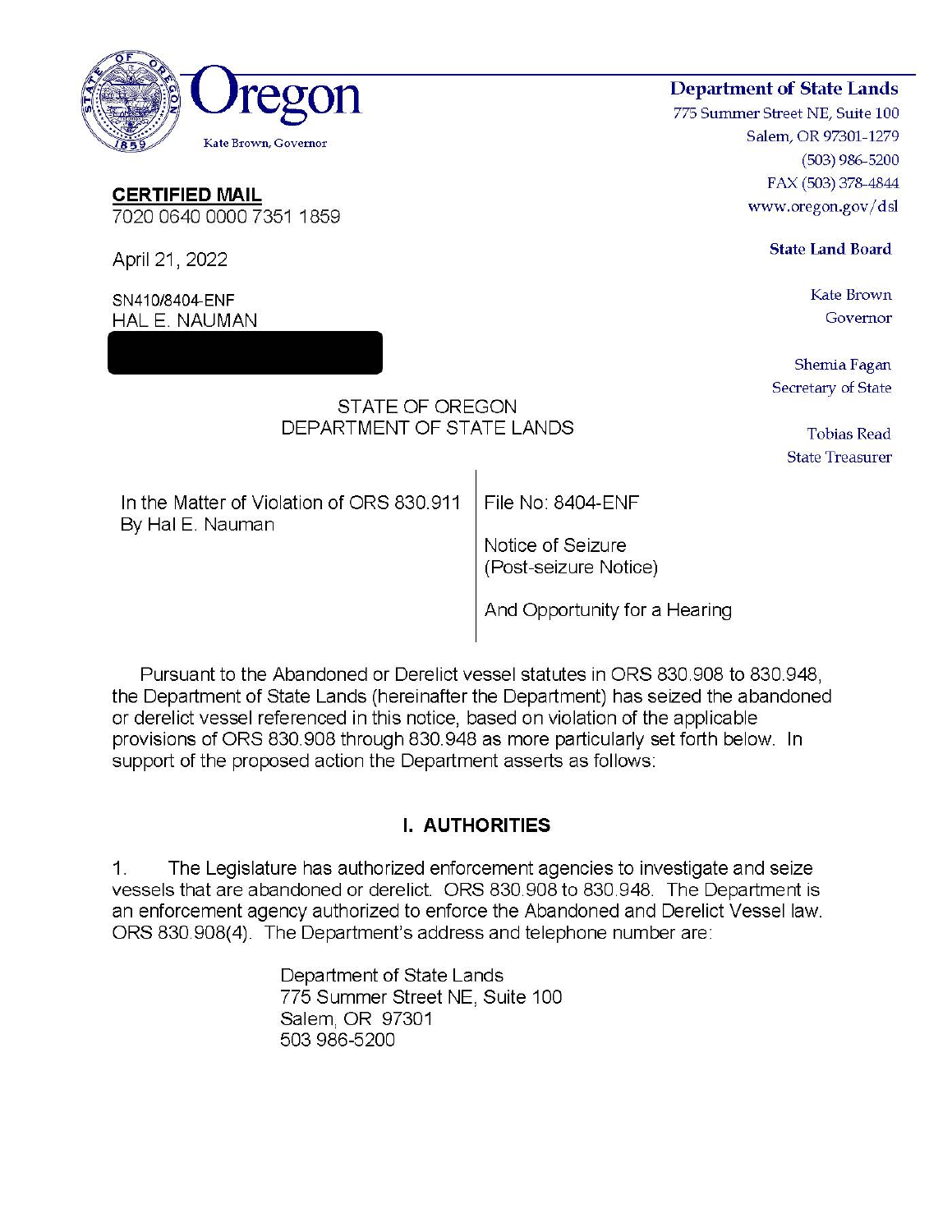

Pursuant to the Abandoned or Derelict vessel statutes in ORS 830.908 to 830.948, the Department of State Lands (hereinafter the Department) has seized the abandoned or derelict vessel referenced in this notice, based on violation of the applicable provisions of ORS 830.908 through 830.948 as more particularly set forth below. In support of the proposed action the Department asserts as follows:

# **I. AUTHORITIES**

The Legislature has authorized enforcement agencies to investigate and seize  $\mathbb{Z}_{\mathbb{Z}}$ vessels that are abandoned or derelict. ORS 830.908 to 830.948. The Department is an enforcement agency authorized to enforce the Abandoned and Derelict Vessel law. ORS 830.908(4). The Department's address and telephone number are:

> Department of State Lands 775 Summer Street NE, Suite 100 Salem, OR 97301 503 986-5200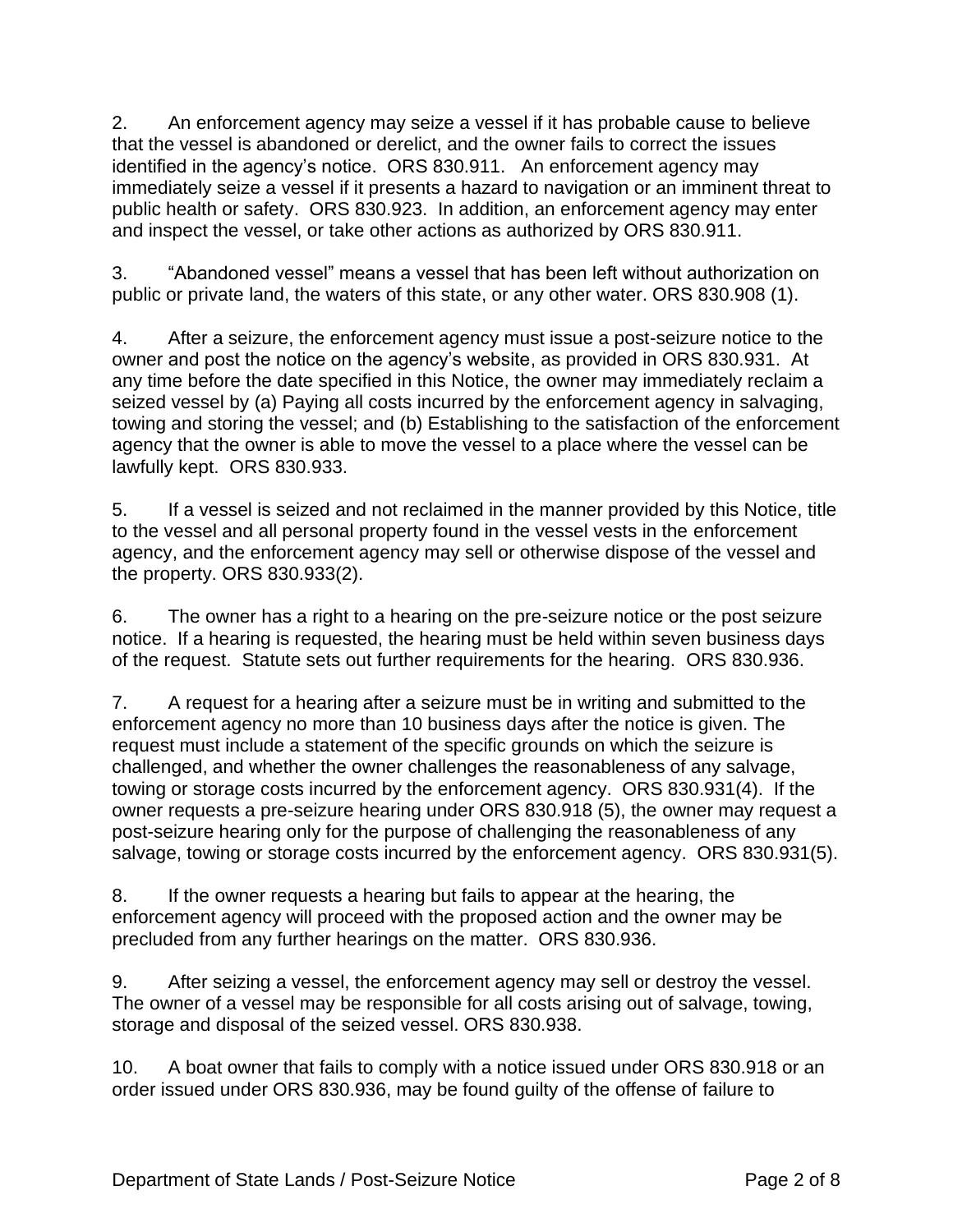2. An enforcement agency may seize a vessel if it has probable cause to believe that the vessel is abandoned or derelict, and the owner fails to correct the issues identified in the agency's notice. ORS 830.911. An enforcement agency may immediately seize a vessel if it presents a hazard to navigation or an imminent threat to public health or safety. ORS 830.923. In addition, an enforcement agency may enter and inspect the vessel, or take other actions as authorized by ORS 830.911.

3. "Abandoned vessel" means a vessel that has been left without authorization on public or private land, the waters of this state, or any other water. ORS 830.908 (1).

4. After a seizure, the enforcement agency must issue a post-seizure notice to the owner and post the notice on the agency's website, as provided in ORS 830.931. At any time before the date specified in this Notice, the owner may immediately reclaim a seized vessel by (a) Paying all costs incurred by the enforcement agency in salvaging, towing and storing the vessel; and (b) Establishing to the satisfaction of the enforcement agency that the owner is able to move the vessel to a place where the vessel can be lawfully kept. ORS 830.933.

5. If a vessel is seized and not reclaimed in the manner provided by this Notice, title to the vessel and all personal property found in the vessel vests in the enforcement agency, and the enforcement agency may sell or otherwise dispose of the vessel and the property. ORS 830.933(2).

6. The owner has a right to a hearing on the pre-seizure notice or the post seizure notice. If a hearing is requested, the hearing must be held within seven business days of the request. Statute sets out further requirements for the hearing. ORS 830.936.

7. A request for a hearing after a seizure must be in writing and submitted to the enforcement agency no more than 10 business days after the notice is given. The request must include a statement of the specific grounds on which the seizure is challenged, and whether the owner challenges the reasonableness of any salvage, towing or storage costs incurred by the enforcement agency. ORS 830.931(4). If the owner requests a pre-seizure hearing under ORS 830.918 (5), the owner may request a post-seizure hearing only for the purpose of challenging the reasonableness of any salvage, towing or storage costs incurred by the enforcement agency. ORS 830.931(5).

8. If the owner requests a hearing but fails to appear at the hearing, the enforcement agency will proceed with the proposed action and the owner may be precluded from any further hearings on the matter. ORS 830.936.

9. After seizing a vessel, the enforcement agency may sell or destroy the vessel. The owner of a vessel may be responsible for all costs arising out of salvage, towing, storage and disposal of the seized vessel. ORS 830.938.

10. A boat owner that fails to comply with a notice issued under ORS 830.918 or an order issued under ORS 830.936, may be found guilty of the offense of failure to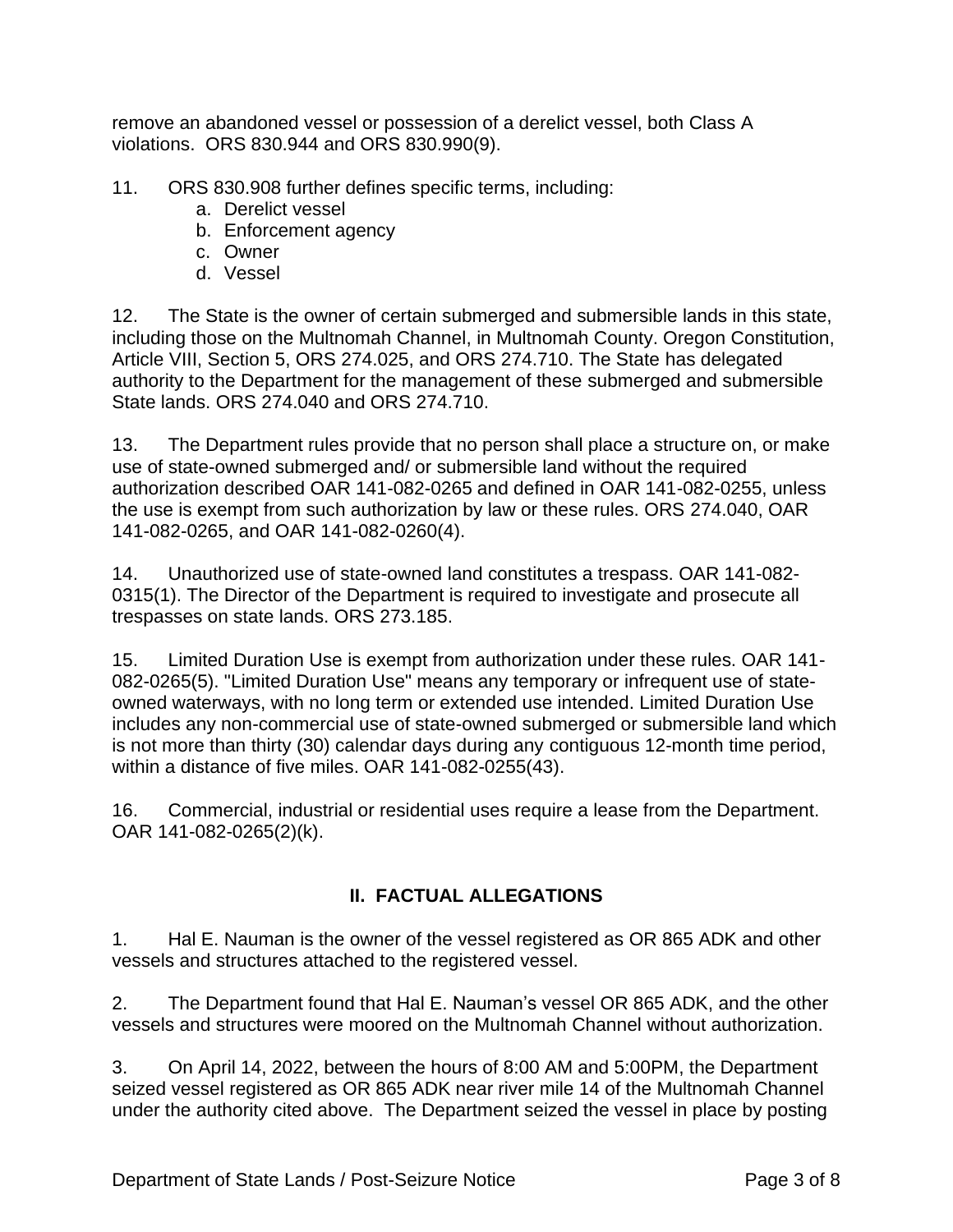remove an abandoned vessel or possession of a derelict vessel, both Class A violations. ORS 830.944 and ORS 830.990(9).

- 11. ORS 830.908 further defines specific terms, including:
	- a. Derelict vessel
	- b. Enforcement agency
	- c. Owner
	- d. Vessel

12. The State is the owner of certain submerged and submersible lands in this state, including those on the Multnomah Channel, in Multnomah County. Oregon Constitution, Article VIII, Section 5, ORS 274.025, and ORS 274.710. The State has delegated authority to the Department for the management of these submerged and submersible State lands. ORS 274.040 and ORS 274.710.

13. The Department rules provide that no person shall place a structure on, or make use of state-owned submerged and/ or submersible land without the required authorization described OAR 141-082-0265 and defined in OAR 141-082-0255, unless the use is exempt from such authorization by law or these rules. ORS 274.040, OAR 141-082-0265, and OAR 141-082-0260(4).

14. Unauthorized use of state-owned land constitutes a trespass. OAR 141-082- 0315(1). The Director of the Department is required to investigate and prosecute all trespasses on state lands. ORS 273.185.

15. Limited Duration Use is exempt from authorization under these rules. OAR 141- 082-0265(5). "Limited Duration Use" means any temporary or infrequent use of stateowned waterways, with no long term or extended use intended. Limited Duration Use includes any non-commercial use of state-owned submerged or submersible land which is not more than thirty (30) calendar days during any contiguous 12-month time period, within a distance of five miles. OAR 141-082-0255(43).

16. Commercial, industrial or residential uses require a lease from the Department. OAR 141-082-0265(2)(k).

# **II. FACTUAL ALLEGATIONS**

1. Hal E. Nauman is the owner of the vessel registered as OR 865 ADK and other vessels and structures attached to the registered vessel.

2. The Department found that Hal E. Nauman's vessel OR 865 ADK, and the other vessels and structures were moored on the Multnomah Channel without authorization.

3. On April 14, 2022, between the hours of 8:00 AM and 5:00PM, the Department seized vessel registered as OR 865 ADK near river mile 14 of the Multnomah Channel under the authority cited above. The Department seized the vessel in place by posting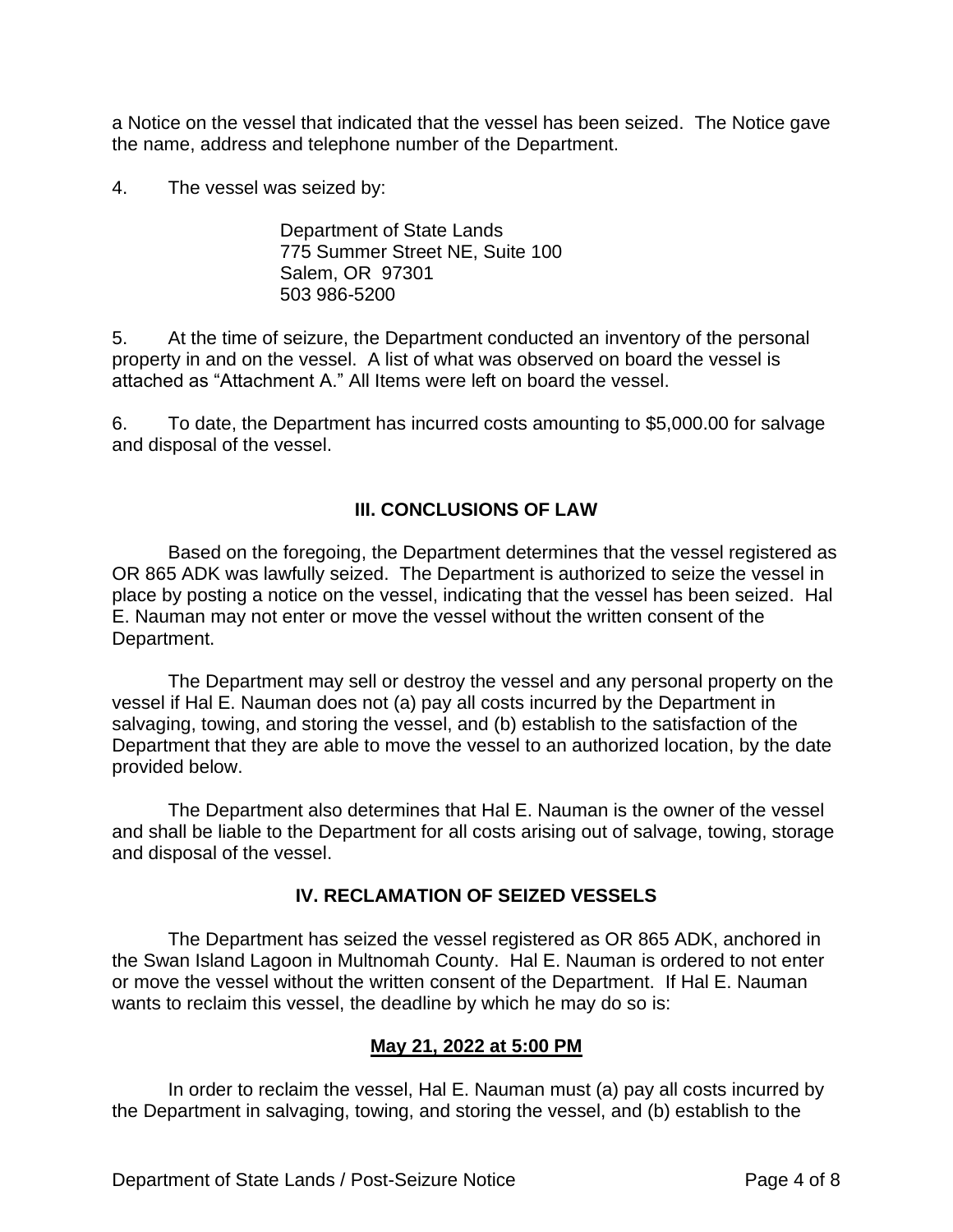a Notice on the vessel that indicated that the vessel has been seized. The Notice gave the name, address and telephone number of the Department.

4. The vessel was seized by:

Department of State Lands 775 Summer Street NE, Suite 100 Salem, OR 97301 503 986-5200

5. At the time of seizure, the Department conducted an inventory of the personal property in and on the vessel. A list of what was observed on board the vessel is attached as "Attachment A." All Items were left on board the vessel.

6. To date, the Department has incurred costs amounting to \$5,000.00 for salvage and disposal of the vessel.

## **III. CONCLUSIONS OF LAW**

Based on the foregoing, the Department determines that the vessel registered as OR 865 ADK was lawfully seized. The Department is authorized to seize the vessel in place by posting a notice on the vessel, indicating that the vessel has been seized. Hal E. Nauman may not enter or move the vessel without the written consent of the Department.

The Department may sell or destroy the vessel and any personal property on the vessel if Hal E. Nauman does not (a) pay all costs incurred by the Department in salvaging, towing, and storing the vessel, and (b) establish to the satisfaction of the Department that they are able to move the vessel to an authorized location, by the date provided below.

The Department also determines that Hal E. Nauman is the owner of the vessel and shall be liable to the Department for all costs arising out of salvage, towing, storage and disposal of the vessel.

#### **IV. RECLAMATION OF SEIZED VESSELS**

The Department has seized the vessel registered as OR 865 ADK, anchored in the Swan Island Lagoon in Multnomah County. Hal E. Nauman is ordered to not enter or move the vessel without the written consent of the Department. If Hal E. Nauman wants to reclaim this vessel, the deadline by which he may do so is:

#### **May 21, 2022 at 5:00 PM**

In order to reclaim the vessel, Hal E. Nauman must (a) pay all costs incurred by the Department in salvaging, towing, and storing the vessel, and (b) establish to the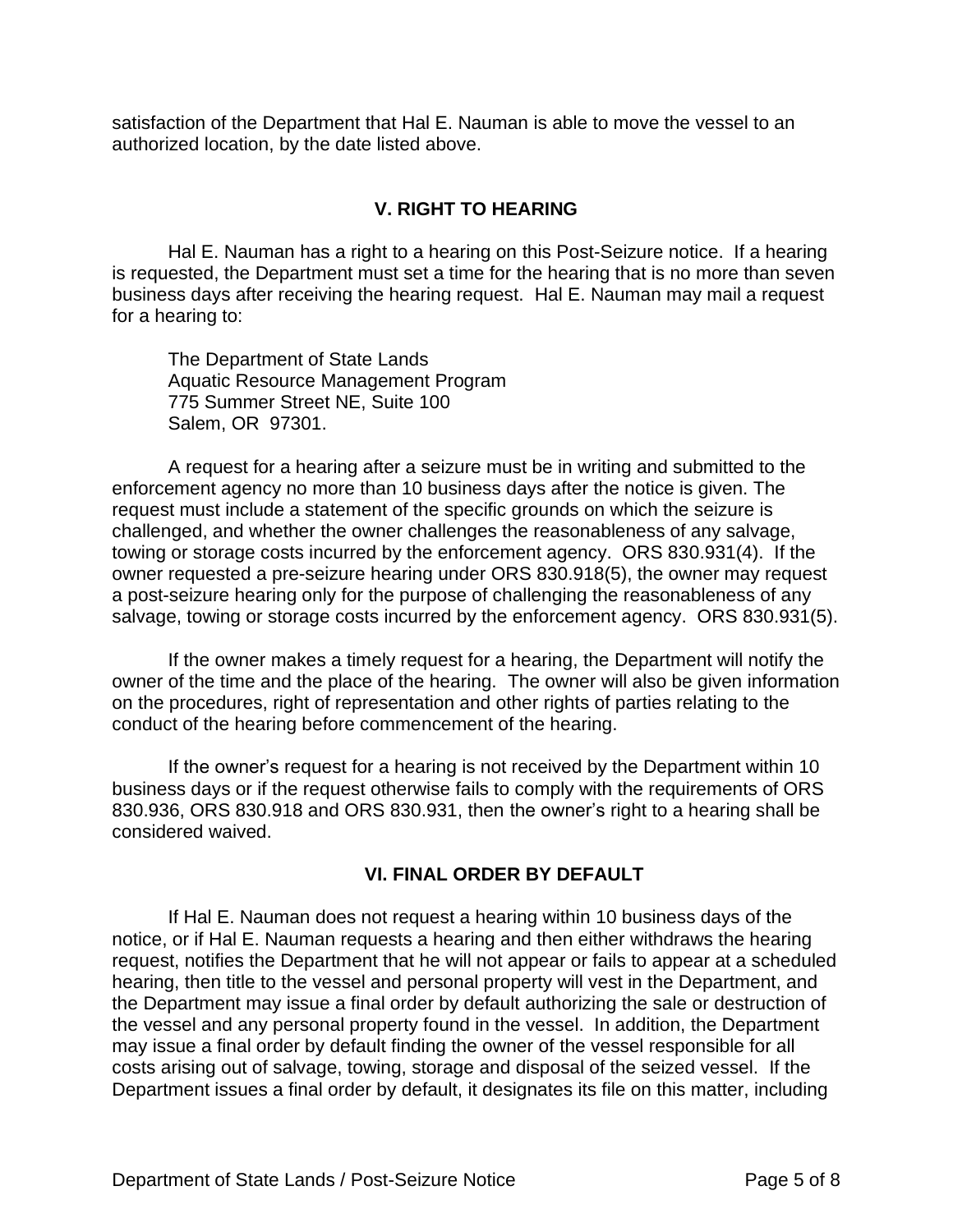satisfaction of the Department that Hal E. Nauman is able to move the vessel to an authorized location, by the date listed above.

### **V. RIGHT TO HEARING**

Hal E. Nauman has a right to a hearing on this Post-Seizure notice. If a hearing is requested, the Department must set a time for the hearing that is no more than seven business days after receiving the hearing request. Hal E. Nauman may mail a request for a hearing to:

The Department of State Lands Aquatic Resource Management Program 775 Summer Street NE, Suite 100 Salem, OR 97301.

A request for a hearing after a seizure must be in writing and submitted to the enforcement agency no more than 10 business days after the notice is given. The request must include a statement of the specific grounds on which the seizure is challenged, and whether the owner challenges the reasonableness of any salvage, towing or storage costs incurred by the enforcement agency. ORS 830.931(4). If the owner requested a pre-seizure hearing under ORS 830.918(5), the owner may request a post-seizure hearing only for the purpose of challenging the reasonableness of any salvage, towing or storage costs incurred by the enforcement agency. ORS 830.931(5).

If the owner makes a timely request for a hearing, the Department will notify the owner of the time and the place of the hearing. The owner will also be given information on the procedures, right of representation and other rights of parties relating to the conduct of the hearing before commencement of the hearing.

If the owner's request for a hearing is not received by the Department within 10 business days or if the request otherwise fails to comply with the requirements of ORS 830.936, ORS 830.918 and ORS 830.931, then the owner's right to a hearing shall be considered waived.

#### **VI. FINAL ORDER BY DEFAULT**

If Hal E. Nauman does not request a hearing within 10 business days of the notice, or if Hal E. Nauman requests a hearing and then either withdraws the hearing request, notifies the Department that he will not appear or fails to appear at a scheduled hearing, then title to the vessel and personal property will vest in the Department, and the Department may issue a final order by default authorizing the sale or destruction of the vessel and any personal property found in the vessel. In addition, the Department may issue a final order by default finding the owner of the vessel responsible for all costs arising out of salvage, towing, storage and disposal of the seized vessel. If the Department issues a final order by default, it designates its file on this matter, including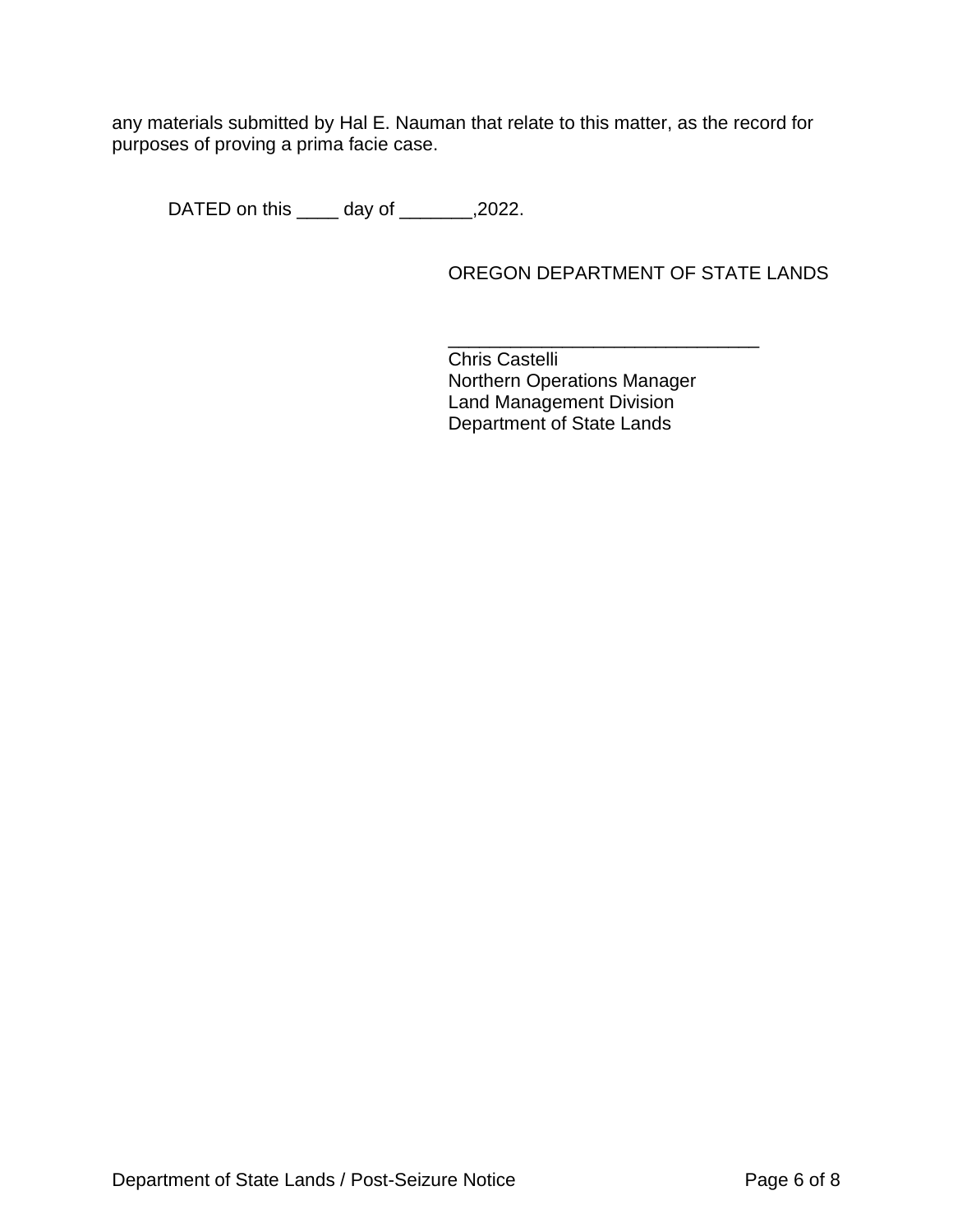any materials submitted by Hal E. Nauman that relate to this matter, as the record for purposes of proving a prima facie case.

DATED on this \_\_\_\_ day of \_\_\_\_\_\_\_,2022.

OREGON DEPARTMENT OF STATE LANDS

\_\_\_\_\_\_\_\_\_\_\_\_\_\_\_\_\_\_\_\_\_\_\_\_\_\_\_\_\_\_ Chris Castelli Northern Operations Manager Land Management Division Department of State Lands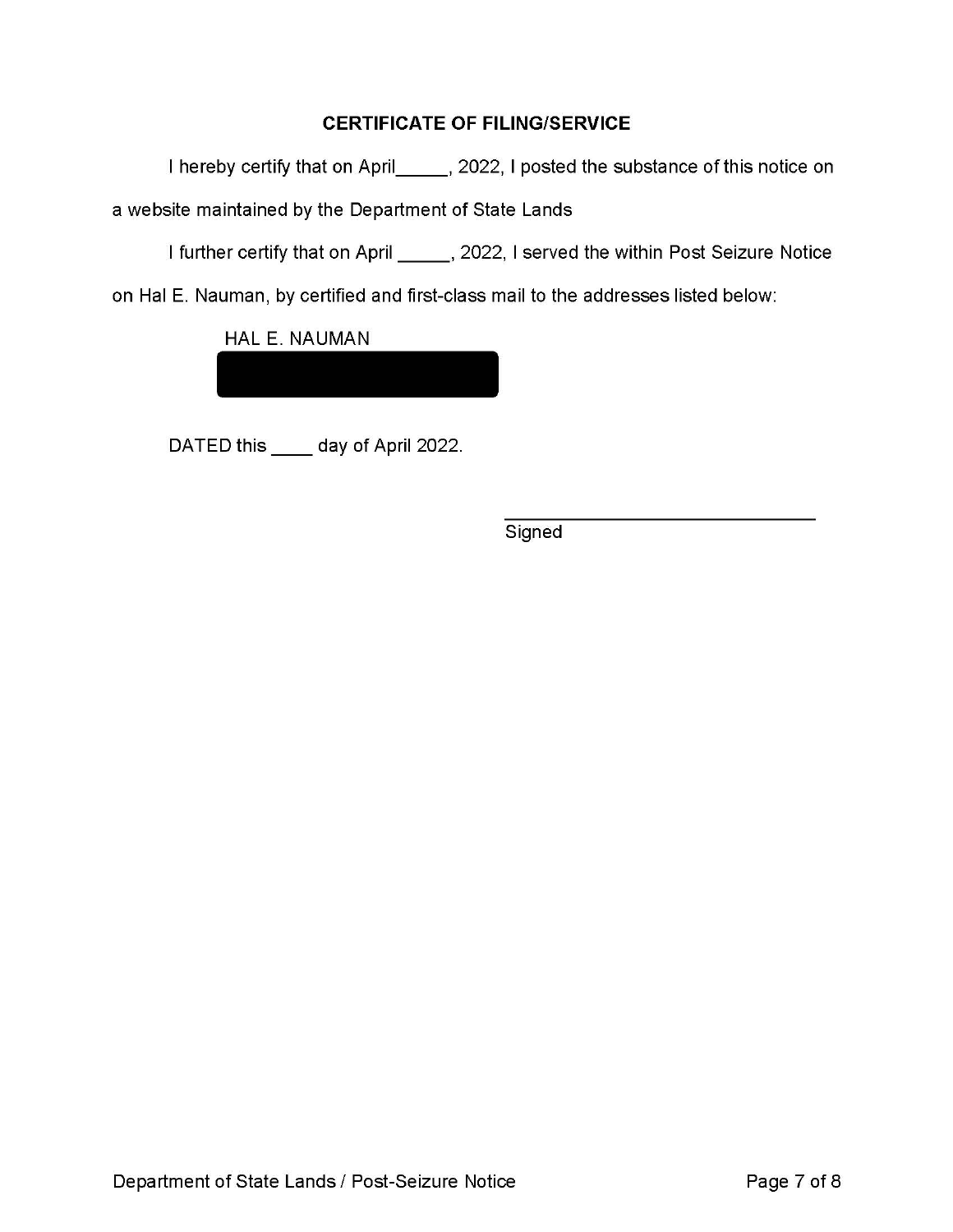### **CERTIFICATE OF FILING/SERVICE**

I hereby certify that on April\_\_\_\_\_\_, 2022, I posted the substance of this notice on

a website maintained by the Department of State Lands

I further certify that on April \_\_\_\_\_\_, 2022, I served the within Post Seizure Notice

on Hal E. Nauman, by certified and first-class mail to the addresses listed below:

HAL E. NAUMAN

DATED this \_\_\_\_\_ day of April 2022.

Signed